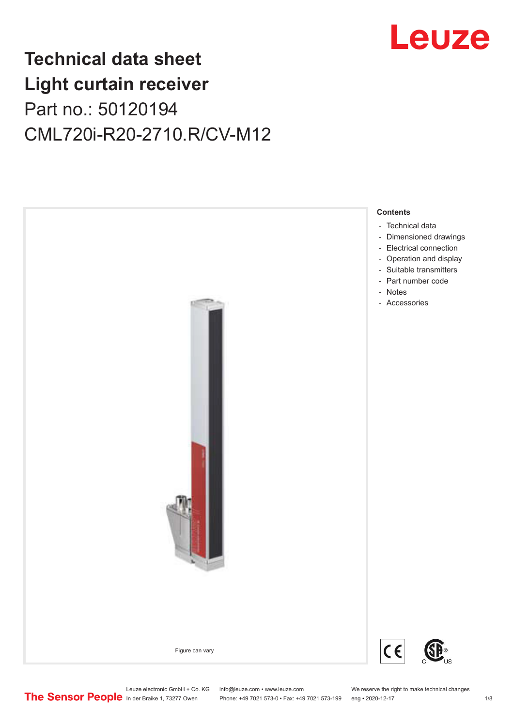

## **Technical data sheet Light curtain receiver** Part no.: 50120194 CML720i-R20-2710.R/CV-M12



Leuze electronic GmbH + Co. KG info@leuze.com • www.leuze.com We reserve the right to make technical changes<br>
The Sensor People in der Braike 1, 73277 Owen Phone: +49 7021 573-0 • Fax: +49 7021 573-199 eng • 2020-12-17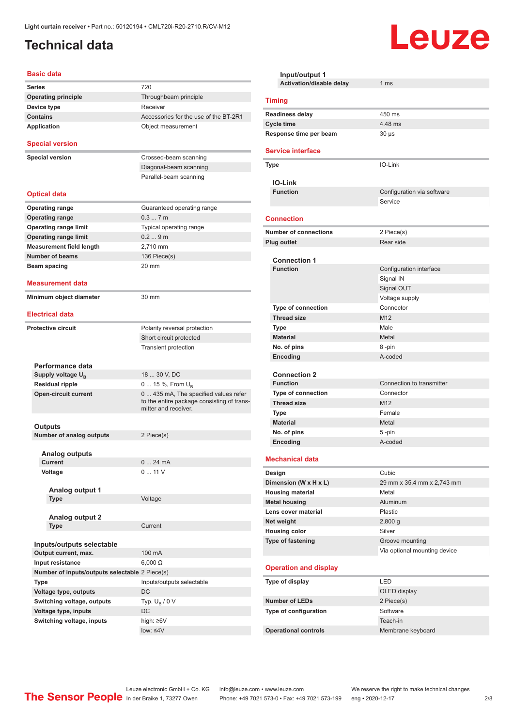## <span id="page-1-0"></span>**Technical data**

#### **Basic data**

| Series                                            | 720                                                                                                        |
|---------------------------------------------------|------------------------------------------------------------------------------------------------------------|
| <b>Operating principle</b>                        | Throughbeam principle                                                                                      |
| Device type                                       | Receiver                                                                                                   |
| <b>Contains</b>                                   | Accessories for the use of the BT-2R1                                                                      |
| Application                                       | Object measurement                                                                                         |
| <b>Special version</b>                            |                                                                                                            |
| <b>Special version</b>                            | Crossed-beam scanning                                                                                      |
|                                                   | Diagonal-beam scanning                                                                                     |
|                                                   | Parallel-beam scanning                                                                                     |
|                                                   |                                                                                                            |
| Optical data                                      |                                                                                                            |
| <b>Operating range</b>                            | Guaranteed operating range                                                                                 |
| <b>Operating range</b>                            | 0.37m                                                                                                      |
| <b>Operating range limit</b>                      | Typical operating range                                                                                    |
| <b>Operating range limit</b>                      | 0.29m                                                                                                      |
| <b>Measurement field length</b>                   | 2,710 mm                                                                                                   |
| <b>Number of beams</b>                            | 136 Piece(s)                                                                                               |
| Beam spacing                                      | 20 mm                                                                                                      |
|                                                   |                                                                                                            |
| Measurement data                                  |                                                                                                            |
| Minimum object diameter                           | 30 mm                                                                                                      |
|                                                   |                                                                                                            |
| <b>Electrical data</b>                            |                                                                                                            |
| <b>Protective circuit</b>                         | Polarity reversal protection                                                                               |
|                                                   | Short circuit protected                                                                                    |
|                                                   | <b>Transient protection</b>                                                                                |
|                                                   |                                                                                                            |
| Performance data                                  |                                                                                                            |
| Supply voltage $U_{B}$                            | 18  30 V, DC                                                                                               |
| <b>Residual ripple</b>                            | 0  15 %, From $U_B$                                                                                        |
| <b>Open-circuit current</b>                       | 0 435 mA, The specified values refer<br>to the entire package consisting of trans-<br>mitter and receiver. |
|                                                   |                                                                                                            |
| Outputs                                           |                                                                                                            |
| <b>Number of analog outputs</b>                   | 2 Piece(s)                                                                                                 |
| Analog outputs                                    |                                                                                                            |
| Current                                           | 024mA                                                                                                      |
| Voltage                                           | 011V                                                                                                       |
|                                                   |                                                                                                            |
| Analog output 1                                   |                                                                                                            |
| Type                                              | Voltage                                                                                                    |
|                                                   |                                                                                                            |
| <b>Analog output 2</b>                            |                                                                                                            |
| Type                                              | Current                                                                                                    |
|                                                   |                                                                                                            |
| Inputs/outputs selectable<br>Output current, max. | 100 mA                                                                                                     |
| Input resistance                                  |                                                                                                            |
| Number of inputs/outputs selectable 2 Piece(s)    | $6,000 \Omega$                                                                                             |
|                                                   |                                                                                                            |
| Type                                              | Inputs/outputs selectable                                                                                  |
| Voltage type, outputs                             | DC                                                                                                         |
| Switching voltage, outputs                        | Typ. $U_B / 0 V$                                                                                           |
| Voltage type, inputs                              | DC                                                                                                         |
| Switching voltage, inputs                         | high: ≥6V                                                                                                  |
|                                                   | $low: 4V$                                                                                                  |

| Input/output 1                         |                              |  |
|----------------------------------------|------------------------------|--|
| <b>Activation/disable delay</b>        | 1 <sub>ms</sub>              |  |
| <b>Timing</b>                          |                              |  |
| <b>Readiness delay</b>                 | 450 ms                       |  |
| <b>Cycle time</b>                      | 4.48 ms                      |  |
| Response time per beam                 | $30 \mu s$                   |  |
| <b>Service interface</b>               |                              |  |
| <b>Type</b>                            | IO-Link                      |  |
| <b>IO-Link</b>                         |                              |  |
| <b>Function</b>                        | Configuration via software   |  |
|                                        | Service                      |  |
| <b>Connection</b>                      |                              |  |
| <b>Number of connections</b>           | 2 Piece(s)                   |  |
| Plug outlet                            | Rear side                    |  |
|                                        |                              |  |
| <b>Connection 1</b><br><b>Function</b> | Configuration interface      |  |
|                                        | Signal IN                    |  |
|                                        | Signal OUT                   |  |
|                                        | Voltage supply               |  |
| <b>Type of connection</b>              | Connector                    |  |
| <b>Thread size</b>                     | M <sub>12</sub>              |  |
| Type                                   | Male                         |  |
| <b>Material</b>                        | Metal                        |  |
| No. of pins                            | 8-pin                        |  |
| Encoding                               | A-coded                      |  |
|                                        |                              |  |
| <b>Connection 2</b><br><b>Function</b> | Connection to transmitter    |  |
| <b>Type of connection</b>              | Connector                    |  |
| <b>Thread size</b>                     | M <sub>12</sub>              |  |
| Type                                   | Female                       |  |
| <b>Material</b>                        | Metal                        |  |
| No. of pins                            | 5-pin                        |  |
| Encoding                               | A-coded                      |  |
| <b>Mechanical data</b>                 |                              |  |
| Design                                 | Cubic                        |  |
| Dimension (W x H x L)                  | 29 mm x 35.4 mm x 2,743 mm   |  |
| <b>Housing material</b>                | Metal                        |  |
| <b>Metal housing</b>                   | <b>Aluminum</b>              |  |
| Lens cover material                    | Plastic                      |  |
| Net weight                             | 2,800 g                      |  |
| <b>Housing color</b>                   | Silver                       |  |
| Type of fastening                      | Groove mounting              |  |
|                                        | Via optional mounting device |  |
| <b>Operation and display</b>           |                              |  |
| Type of display                        | LED                          |  |
|                                        | OLED display                 |  |
| <b>Number of LEDs</b>                  | 2 Piece(s)                   |  |
| Type of configuration                  | Software                     |  |
|                                        | Teach-in                     |  |
| <b>Operational controls</b>            | Membrane keyboard            |  |

Leuze

Leuze electronic GmbH + Co. KG info@leuze.com • www.leuze.com We reserve the right to make technical changes ln der Braike 1, 73277 Owen Phone: +49 7021 573-0 • Fax: +49 7021 573-199 eng • 2020-12-17 2/8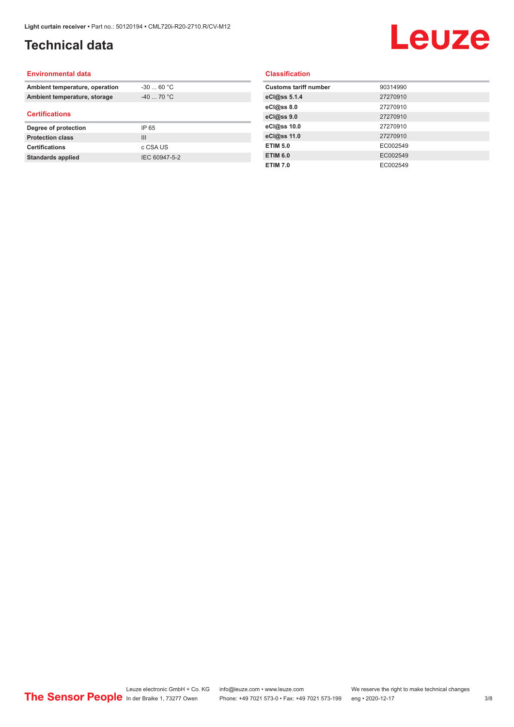## **Technical data**

# Leuze

#### **Environmental data**

| Ambient temperature, operation | $-30$ 60 °C    |  |
|--------------------------------|----------------|--|
| Ambient temperature, storage   | $-40$ 70 °C    |  |
| <b>Certifications</b>          |                |  |
| Degree of protection           | IP 65          |  |
| <b>Protection class</b>        | $\mathbf{III}$ |  |
| <b>Certifications</b>          | c CSA US       |  |
| <b>Standards applied</b>       | IEC 60947-5-2  |  |

#### **Classification**

| <b>Customs tariff number</b> | 90314990 |
|------------------------------|----------|
| eCl@ss 5.1.4                 | 27270910 |
| eCl@ss 8.0                   | 27270910 |
| eCl@ss 9.0                   | 27270910 |
| eCl@ss 10.0                  | 27270910 |
| eCl@ss 11.0                  | 27270910 |
| <b>ETIM 5.0</b>              | EC002549 |
| <b>ETIM 6.0</b>              | EC002549 |
| <b>ETIM 7.0</b>              | EC002549 |
|                              |          |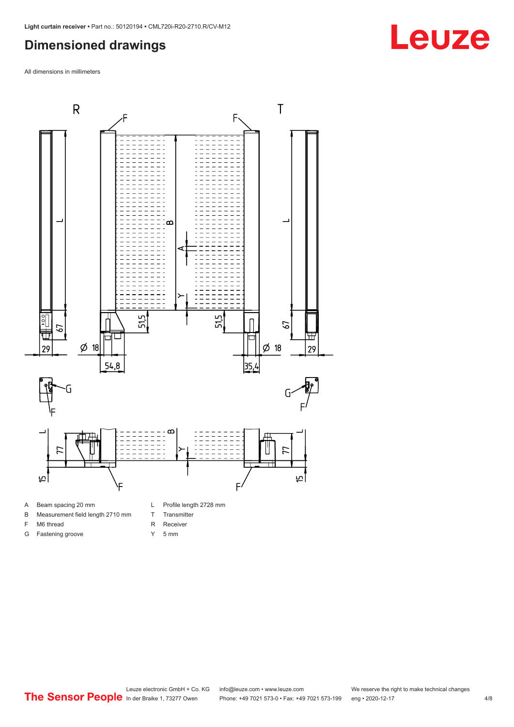### <span id="page-3-0"></span>**Dimensioned drawings**

All dimensions in millimeters



- A Beam spacing 20 mm
- B Measurement field length 2710 mm
- F M6 thread
- G Fastening groove
- 
- T Transmitter
- R Receiver
- Y 5 mm



# **Leuze**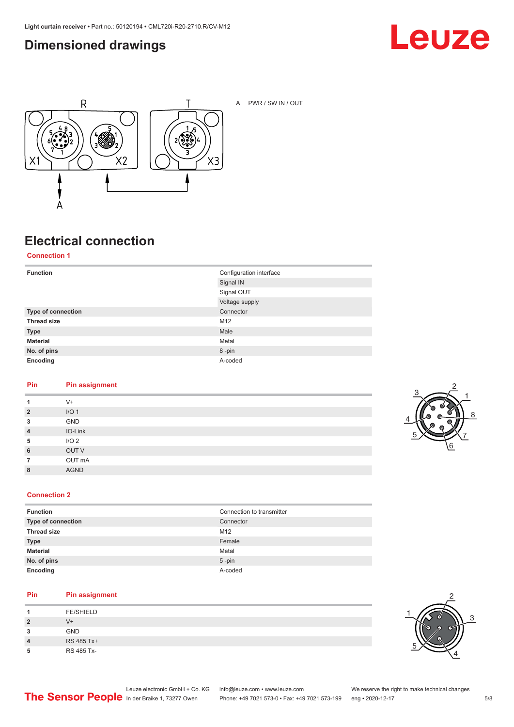### <span id="page-4-0"></span>**Dimensioned drawings**





A PWR / SW IN / OUT

## **Electrical connection**

**Connection 1**

| <b>Function</b>    | Configuration interface |
|--------------------|-------------------------|
|                    | Signal IN               |
|                    | Signal OUT              |
|                    | Voltage supply          |
| Type of connection | Connector               |
| <b>Thread size</b> | M12                     |
| <b>Type</b>        | Male                    |
| <b>Material</b>    | Metal                   |
| No. of pins        | 8-pin                   |
| Encoding           | A-coded                 |

#### **Pin Pin assignment**

| 1              | $V +$            |
|----------------|------------------|
| $\overline{2}$ | I/O <sub>1</sub> |
| 3              | GND              |
| $\overline{4}$ | IO-Link          |
| 5              | I/O <sub>2</sub> |
| 6              | OUT V            |
| $\overline{7}$ | OUT mA           |
| 8              | <b>AGND</b>      |
|                |                  |



#### **Connection 2**

| <b>Function</b>    | Connection to transmitter |
|--------------------|---------------------------|
| Type of connection | Connector                 |
| <b>Thread size</b> | M12                       |
| <b>Type</b>        | Female                    |
| <b>Material</b>    | Metal                     |
| No. of pins        | $5$ -pin                  |
| Encoding           | A-coded                   |

#### **Pin Pin assignment**

|   | <b>FE/SHIELD</b> |
|---|------------------|
| 2 | $V +$            |
| 3 | <b>GND</b>       |
| 4 | RS 485 Tx+       |
| 5 | RS 485 Tx-       |

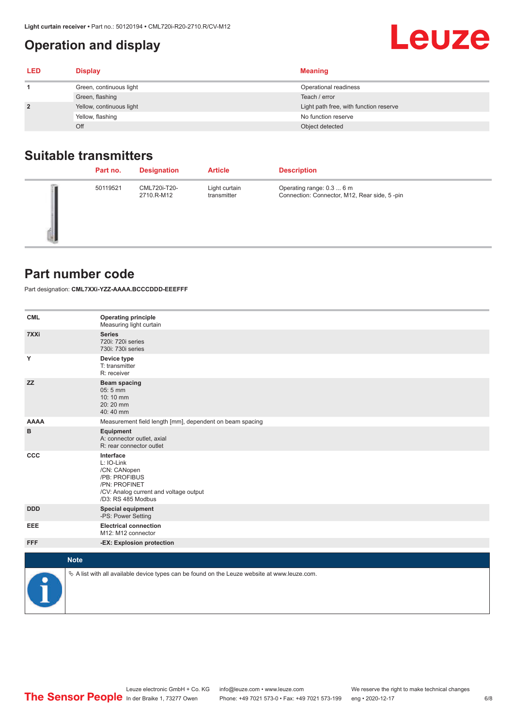## <span id="page-5-0"></span>**Operation and display**

| <b>LED</b>     | <b>Display</b>           | <b>Meaning</b>                         |
|----------------|--------------------------|----------------------------------------|
|                | Green, continuous light  | Operational readiness                  |
|                | Green, flashing          | Teach / error                          |
| $\overline{2}$ | Yellow, continuous light | Light path free, with function reserve |
|                | Yellow, flashing         | No function reserve                    |
|                | Off                      | Object detected                        |

#### **Suitable transmitters**

| Part no. | <b>Designation</b>         | <b>Article</b>               | <b>Description</b>                                                        |
|----------|----------------------------|------------------------------|---------------------------------------------------------------------------|
| 50119521 | CML720i-T20-<br>2710.R-M12 | Light curtain<br>transmitter | Operating range: 0.3  6 m<br>Connection: Connector, M12, Rear side, 5-pin |

#### **Part number code**

Part designation: **CML7XXi-YZZ-AAAA.BCCCDDD-EEEFFF**

| <b>CML</b>  | <b>Operating principle</b><br>Measuring light curtain                                                                                     |
|-------------|-------------------------------------------------------------------------------------------------------------------------------------------|
| 7XXi        | <b>Series</b><br>720i: 720i series<br>730i: 730i series                                                                                   |
| Y           | Device type<br>T: transmitter<br>R: receiver                                                                                              |
| <b>ZZ</b>   | <b>Beam spacing</b><br>05:5 mm<br>10:10 mm<br>20:20 mm<br>40:40 mm                                                                        |
| <b>AAAA</b> | Measurement field length [mm], dependent on beam spacing                                                                                  |
| в           | Equipment<br>A: connector outlet, axial<br>R: rear connector outlet                                                                       |
| CCC         | Interface<br>L: IO-Link<br>/CN: CANopen<br>/PB: PROFIBUS<br>/PN: PROFINET<br>/CV: Analog current and voltage output<br>/D3: RS 485 Modbus |
| <b>DDD</b>  | <b>Special equipment</b><br>-PS: Power Setting                                                                                            |
| EEE         | <b>Electrical connection</b><br>M12: M12 connector                                                                                        |
| <b>FFF</b>  | -EX: Explosion protection                                                                                                                 |
|             | <b>Note</b>                                                                                                                               |
| ₽           | $\&$ A list with all available device types can be found on the Leuze website at www.leuze.com.                                           |

**Leuze**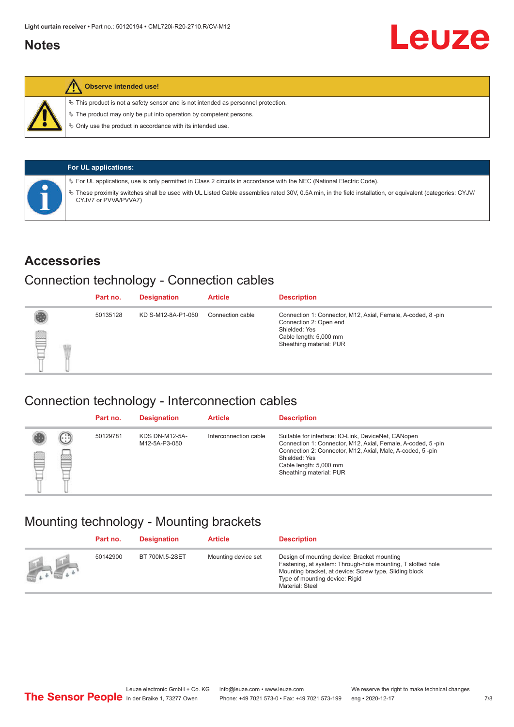#### <span id="page-6-0"></span>**Notes**



#### **Observe intended use!**

 $\%$  This product is not a safety sensor and is not intended as personnel protection.

 $\%$  The product may only be put into operation by competent persons.

 $\%$  Only use the product in accordance with its intended use.

| <b>For UL applications:</b>                                                                                                                                                       |
|-----------------------------------------------------------------------------------------------------------------------------------------------------------------------------------|
| $\%$ For UL applications, use is only permitted in Class 2 circuits in accordance with the NEC (National Electric Code).                                                          |
| V These proximity switches shall be used with UL Listed Cable assemblies rated 30V, 0.5A min, in the field installation, or equivalent (categories: CYJV/<br>CYJV7 or PVVA/PVVA7) |

#### **Accessories**

#### Connection technology - Connection cables

|   | Part no. | <b>Designation</b> | <b>Article</b>   | <b>Description</b>                                                                                                                                          |
|---|----------|--------------------|------------------|-------------------------------------------------------------------------------------------------------------------------------------------------------------|
| § | 50135128 | KD S-M12-8A-P1-050 | Connection cable | Connection 1: Connector, M12, Axial, Female, A-coded, 8-pin<br>Connection 2: Open end<br>Shielded: Yes<br>Cable length: 5,000 mm<br>Sheathing material: PUR |

#### Connection technology - Interconnection cables

|   |                      | Part no. | <b>Designation</b>                     | <b>Article</b>        | <b>Description</b>                                                                                                                                                                                                                                    |
|---|----------------------|----------|----------------------------------------|-----------------------|-------------------------------------------------------------------------------------------------------------------------------------------------------------------------------------------------------------------------------------------------------|
| ▤ | $(\cdot;\cdot)$<br>e | 50129781 | <b>KDS DN-M12-5A-</b><br>M12-5A-P3-050 | Interconnection cable | Suitable for interface: IO-Link, DeviceNet, CANopen<br>Connection 1: Connector, M12, Axial, Female, A-coded, 5-pin<br>Connection 2: Connector, M12, Axial, Male, A-coded, 5-pin<br>Shielded: Yes<br>Cable length: 5,000 mm<br>Sheathing material: PUR |

#### Mounting technology - Mounting brackets

|               | Part no. | <b>Designation</b> | <b>Article</b>      | <b>Description</b>                                                                                                                                                                                                        |
|---------------|----------|--------------------|---------------------|---------------------------------------------------------------------------------------------------------------------------------------------------------------------------------------------------------------------------|
| $\frac{1}{2}$ | 50142900 | BT 700M.5-2SET     | Mounting device set | Design of mounting device: Bracket mounting<br>Fastening, at system: Through-hole mounting, T slotted hole<br>Mounting bracket, at device: Screw type, Sliding block<br>Type of mounting device: Rigid<br>Material: Steel |

Leuze